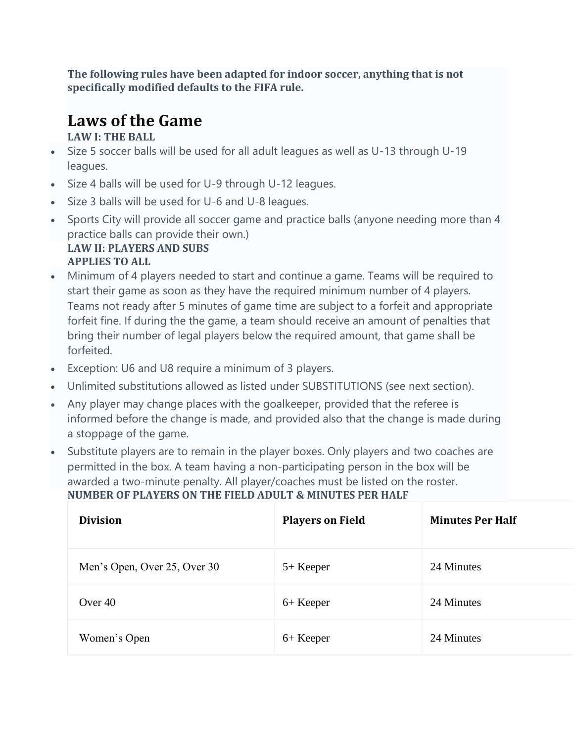**The following rules have been adapted for indoor soccer, anything that is not specifically modified defaults to the FIFA rule.**

# **Laws of the Game**

**LAW I: THE BALL**

- Size 5 soccer balls will be used for all adult leagues as well as U-13 through U-19 leagues.
- Size 4 balls will be used for U-9 through U-12 leagues.
- Size 3 balls will be used for U-6 and U-8 leagues.
- Sports City will provide all soccer game and practice balls (anyone needing more than 4 practice balls can provide their own.) **LAW II: PLAYERS AND SUBS APPLIES TO ALL**
- Minimum of 4 players needed to start and continue a game. Teams will be required to start their game as soon as they have the required minimum number of 4 players. Teams not ready after 5 minutes of game time are subject to a forfeit and appropriate forfeit fine. If during the the game, a team should receive an amount of penalties that bring their number of legal players below the required amount, that game shall be forfeited.
- Exception: U6 and U8 require a minimum of 3 players.
- Unlimited substitutions allowed as listed under SUBSTITUTIONS (see next section).
- Any player may change places with the goalkeeper, provided that the referee is informed before the change is made, and provided also that the change is made during a stoppage of the game.
- Substitute players are to remain in the player boxes. Only players and two coaches are permitted in the box. A team having a non-participating person in the box will be awarded a two-minute penalty. All player/coaches must be listed on the roster. **NUMBER OF PLAYERS ON THE FIELD ADULT & MINUTES PER HALF**

| <b>Division</b>              | <b>Players on Field</b> | <b>Minutes Per Half</b> |
|------------------------------|-------------------------|-------------------------|
| Men's Open, Over 25, Over 30 | 5+ Keeper               | 24 Minutes              |
| Over 40                      | 6+ Keeper               | 24 Minutes              |
| Women's Open                 | 6+ Keeper               | 24 Minutes              |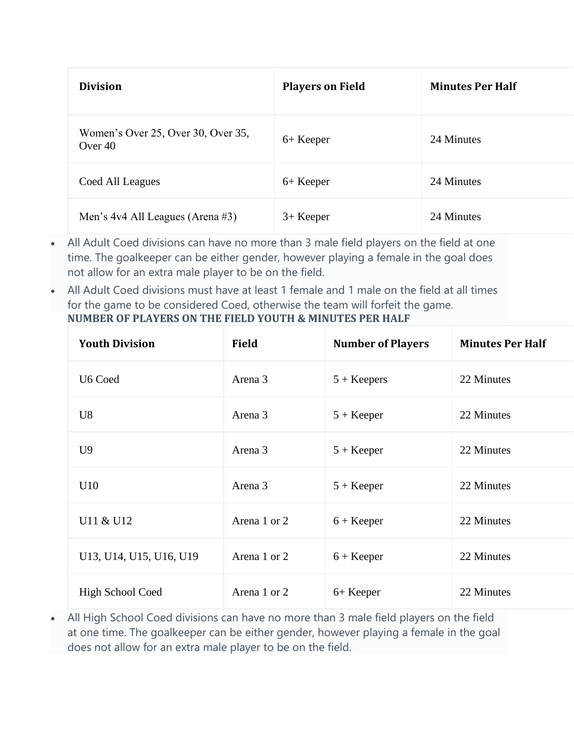| <b>Division</b>                                 | <b>Players on Field</b> | <b>Minutes Per Half</b> |
|-------------------------------------------------|-------------------------|-------------------------|
| Women's Over 25, Over 30, Over 35,<br>Over $40$ | 6+ Keeper               | 24 Minutes              |
| Coed All Leagues                                | 6+ Keeper               | 24 Minutes              |
| Men's $4v4$ All Leagues (Arena #3)              | $3+$ Keeper             | 24 Minutes              |

- All Adult Coed divisions can have no more than 3 male field players on the field at one time. The goalkeeper can be either gender, however playing a female in the goal does not allow for an extra male player to be on the field.
- All Adult Coed divisions must have at least 1 female and 1 male on the field at all times for the game to be considered Coed, otherwise the team will forfeit the game. **NUMBER OF PLAYERS ON THE FIELD YOUTH & MINUTES PER HALF**

| <b>Youth Division</b>   | <b>Field</b> | <b>Number of Players</b> | <b>Minutes Per Half</b> |
|-------------------------|--------------|--------------------------|-------------------------|
| U6 Coed                 | Arena 3      | $5 + Keepers$            | 22 Minutes              |
| U <sub>8</sub>          | Arena 3      | $5 + Keeper$             | 22 Minutes              |
| U <sup>9</sup>          | Arena 3      | $5 + Keeper$             | 22 Minutes              |
| U10                     | Arena 3      | $5 + Keeper$             | 22 Minutes              |
| U11 & U12               | Arena 1 or 2 | $6 + Keeper$             | 22 Minutes              |
| U13, U14, U15, U16, U19 | Arena 1 or 2 | $6 + Keeper$             | 22 Minutes              |
| <b>High School Coed</b> | Arena 1 or 2 | 6+ Keeper                | 22 Minutes              |

• All High School Coed divisions can have no more than 3 male field players on the field at one time. The goalkeeper can be either gender, however playing a female in the goal does not allow for an extra male player to be on the field.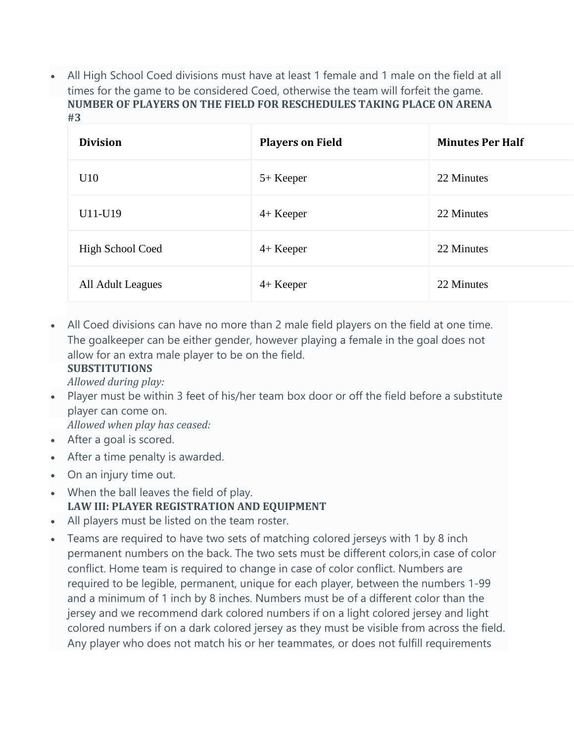• All High School Coed divisions must have at least 1 female and 1 male on the field at all times for the game to be considered Coed, otherwise the team will forfeit the game. **NUMBER OF PLAYERS ON THE FIELD FOR RESCHEDULES TAKING PLACE ON ARENA #3**

| <b>Division</b>   | <b>Players on Field</b> | <b>Minutes Per Half</b> |
|-------------------|-------------------------|-------------------------|
| U10               | 5+ Keeper               | 22 Minutes              |
| U11-U19           | $4+$ Keeper             | 22 Minutes              |
| High School Coed  | $4+$ Keeper             | 22 Minutes              |
| All Adult Leagues | $4+$ Keeper             | 22 Minutes              |

• All Coed divisions can have no more than 2 male field players on the field at one time. The goalkeeper can be either gender, however playing a female in the goal does not allow for an extra male player to be on the field.

## **SUBSTITUTIONS**

*Allowed during play:*

• Player must be within 3 feet of his/her team box door or off the field before a substitute player can come on.

*Allowed when play has ceased:*

- After a goal is scored.
- After a time penalty is awarded.
- On an injury time out.
- When the ball leaves the field of play. **LAW III: PLAYER REGISTRATION AND EQUIPMENT**
- All players must be listed on the team roster.
- Teams are required to have two sets of matching colored jerseys with 1 by 8 inch permanent numbers on the back. The two sets must be different colors,in case of color conflict. Home team is required to change in case of color conflict. Numbers are required to be legible, permanent, unique for each player, between the numbers 1-99 and a minimum of 1 inch by 8 inches. Numbers must be of a different color than the jersey and we recommend dark colored numbers if on a light colored jersey and light colored numbers if on a dark colored jersey as they must be visible from across the field. Any player who does not match his or her teammates, or does not fulfill requirements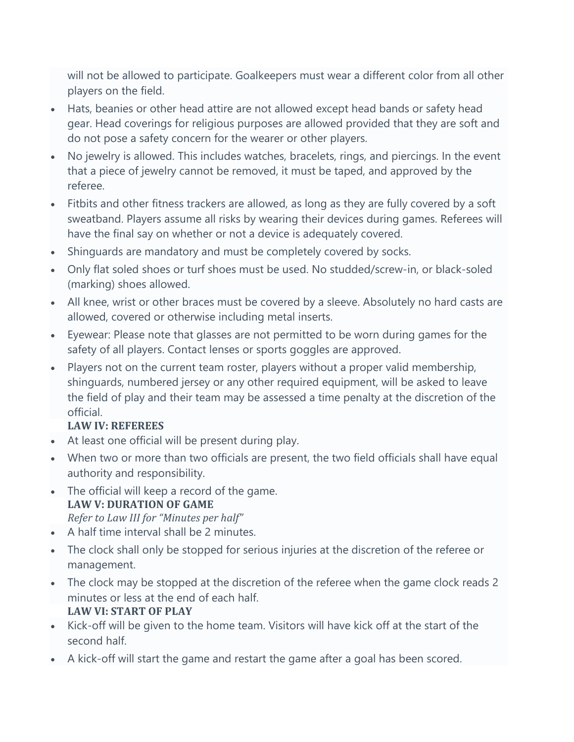will not be allowed to participate. Goalkeepers must wear a different color from all other players on the field.

- Hats, beanies or other head attire are not allowed except head bands or safety head gear. Head coverings for religious purposes are allowed provided that they are soft and do not pose a safety concern for the wearer or other players.
- No jewelry is allowed. This includes watches, bracelets, rings, and piercings. In the event that a piece of jewelry cannot be removed, it must be taped, and approved by the referee.
- Fitbits and other fitness trackers are allowed, as long as they are fully covered by a soft sweatband. Players assume all risks by wearing their devices during games. Referees will have the final say on whether or not a device is adequately covered.
- Shinguards are mandatory and must be completely covered by socks.
- Only flat soled shoes or turf shoes must be used. No studded/screw-in, or black-soled (marking) shoes allowed.
- All knee, wrist or other braces must be covered by a sleeve. Absolutely no hard casts are allowed, covered or otherwise including metal inserts.
- Eyewear: Please note that glasses are not permitted to be worn during games for the safety of all players. Contact lenses or sports goggles are approved.
- Players not on the current team roster, players without a proper valid membership, shinguards, numbered jersey or any other required equipment, will be asked to leave the field of play and their team may be assessed a time penalty at the discretion of the official.

## **LAW IV: REFEREES**

- At least one official will be present during play.
- When two or more than two officials are present, the two field officials shall have equal authority and responsibility.
- The official will keep a record of the game. **LAW V: DURATION OF GAME** *Refer to Law III for "Minutes per half"*
- A half time interval shall be 2 minutes.
- The clock shall only be stopped for serious injuries at the discretion of the referee or management.
- The clock may be stopped at the discretion of the referee when the game clock reads 2 minutes or less at the end of each half. **LAW VI: START OF PLAY**
- Kick-off will be given to the home team. Visitors will have kick off at the start of the second half.
- A kick-off will start the game and restart the game after a goal has been scored.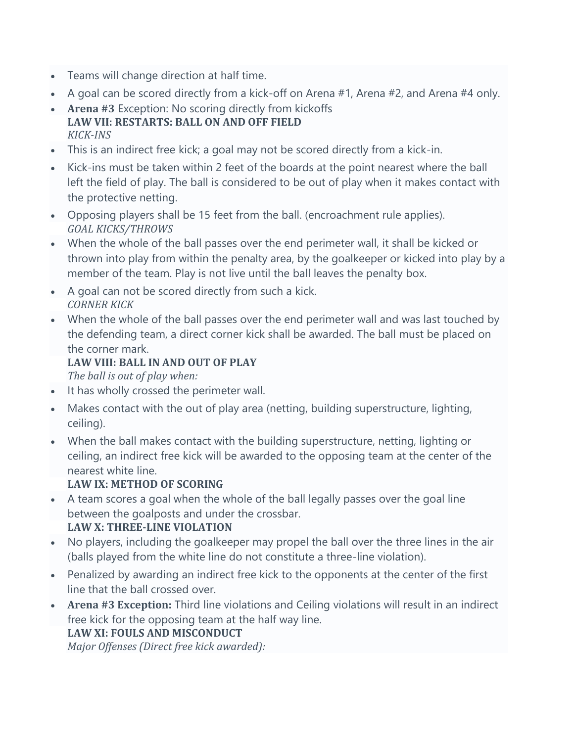- Teams will change direction at half time.
- A goal can be scored directly from a kick-off on Arena #1, Arena #2, and Arena #4 only.
- **Arena #3** Exception: No scoring directly from kickoffs **LAW VII: RESTARTS: BALL ON AND OFF FIELD** *KICK-INS*
- This is an indirect free kick; a goal may not be scored directly from a kick-in.
- Kick-ins must be taken within 2 feet of the boards at the point nearest where the ball left the field of play. The ball is considered to be out of play when it makes contact with the protective netting.
- Opposing players shall be 15 feet from the ball. (encroachment rule applies). *GOAL KICKS/THROWS*
- When the whole of the ball passes over the end perimeter wall, it shall be kicked or thrown into play from within the penalty area, by the goalkeeper or kicked into play by a member of the team. Play is not live until the ball leaves the penalty box.
- A goal can not be scored directly from such a kick. *CORNER KICK*
- When the whole of the ball passes over the end perimeter wall and was last touched by the defending team, a direct corner kick shall be awarded. The ball must be placed on the corner mark.

# **LAW VIII: BALL IN AND OUT OF PLAY**

*The ball is out of play when:*

- It has wholly crossed the perimeter wall.
- Makes contact with the out of play area (netting, building superstructure, lighting, ceiling).
- When the ball makes contact with the building superstructure, netting, lighting or ceiling, an indirect free kick will be awarded to the opposing team at the center of the nearest white line.

# **LAW IX: METHOD OF SCORING**

- A team scores a goal when the whole of the ball legally passes over the goal line between the goalposts and under the crossbar. **LAW X: THREE-LINE VIOLATION**
- No players, including the goalkeeper may propel the ball over the three lines in the air (balls played from the white line do not constitute a three-line violation).
- Penalized by awarding an indirect free kick to the opponents at the center of the first line that the ball crossed over.
- **Arena #3 Exception:** Third line violations and Ceiling violations will result in an indirect free kick for the opposing team at the half way line.

## **LAW XI: FOULS AND MISCONDUCT**

*Major Offenses (Direct free kick awarded):*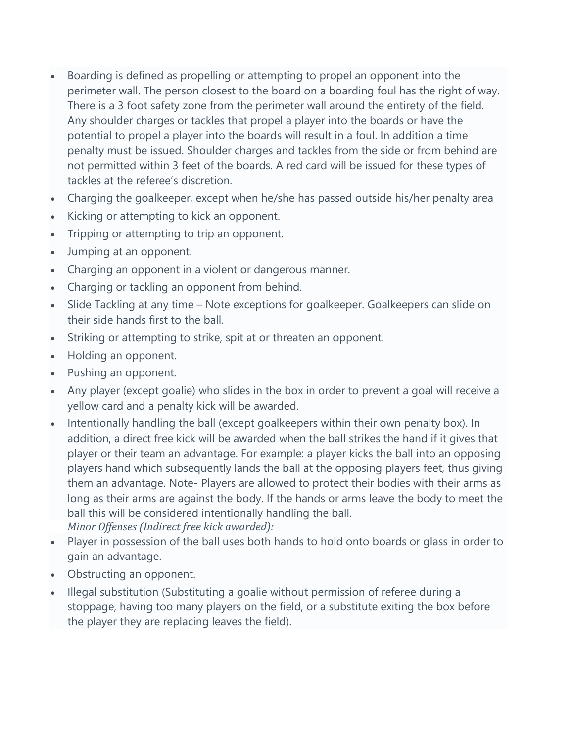- Boarding is defined as propelling or attempting to propel an opponent into the perimeter wall. The person closest to the board on a boarding foul has the right of way. There is a 3 foot safety zone from the perimeter wall around the entirety of the field. Any shoulder charges or tackles that propel a player into the boards or have the potential to propel a player into the boards will result in a foul. In addition a time penalty must be issued. Shoulder charges and tackles from the side or from behind are not permitted within 3 feet of the boards. A red card will be issued for these types of tackles at the referee's discretion.
- Charging the goalkeeper, except when he/she has passed outside his/her penalty area
- Kicking or attempting to kick an opponent.
- Tripping or attempting to trip an opponent.
- Jumping at an opponent.
- Charging an opponent in a violent or dangerous manner.
- Charging or tackling an opponent from behind.
- Slide Tackling at any time Note exceptions for goalkeeper. Goalkeepers can slide on their side hands first to the ball.
- Striking or attempting to strike, spit at or threaten an opponent.
- Holding an opponent.
- Pushing an opponent.
- Any player (except goalie) who slides in the box in order to prevent a goal will receive a yellow card and a penalty kick will be awarded.
- Intentionally handling the ball (except goalkeepers within their own penalty box). In addition, a direct free kick will be awarded when the ball strikes the hand if it gives that player or their team an advantage. For example: a player kicks the ball into an opposing players hand which subsequently lands the ball at the opposing players feet, thus giving them an advantage. Note- Players are allowed to protect their bodies with their arms as long as their arms are against the body. If the hands or arms leave the body to meet the ball this will be considered intentionally handling the ball. *Minor Offenses (Indirect free kick awarded):*
- Player in possession of the ball uses both hands to hold onto boards or glass in order to gain an advantage.
- Obstructing an opponent.
- Illegal substitution (Substituting a goalie without permission of referee during a stoppage, having too many players on the field, or a substitute exiting the box before the player they are replacing leaves the field).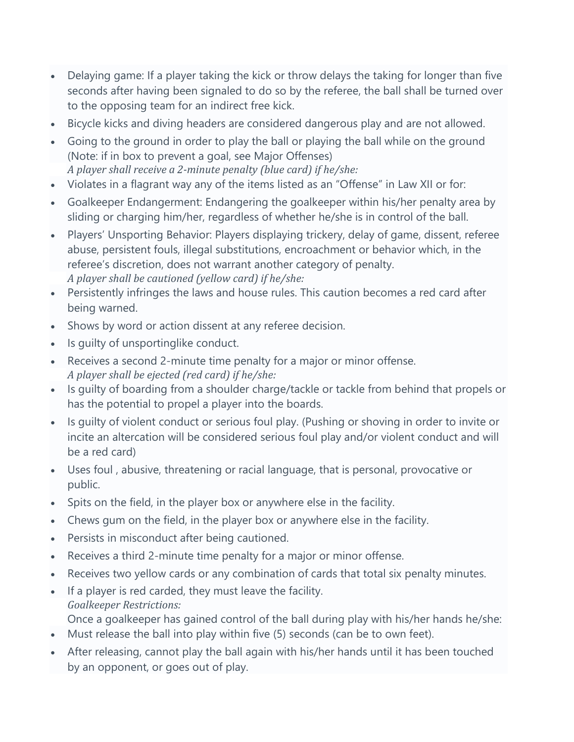- Delaying game: If a player taking the kick or throw delays the taking for longer than five seconds after having been signaled to do so by the referee, the ball shall be turned over to the opposing team for an indirect free kick.
- Bicycle kicks and diving headers are considered dangerous play and are not allowed.
- Going to the ground in order to play the ball or playing the ball while on the ground (Note: if in box to prevent a goal, see Major Offenses) *A player shall receive a 2-minute penalty (blue card) if he/she:*
- Violates in a flagrant way any of the items listed as an "Offense" in Law XII or for:
- Goalkeeper Endangerment: Endangering the goalkeeper within his/her penalty area by sliding or charging him/her, regardless of whether he/she is in control of the ball.
- Players' Unsporting Behavior: Players displaying trickery, delay of game, dissent, referee abuse, persistent fouls, illegal substitutions, encroachment or behavior which, in the referee's discretion, does not warrant another category of penalty. *A player shall be cautioned (yellow card) if he/she:*
- Persistently infringes the laws and house rules. This caution becomes a red card after being warned.
- Shows by word or action dissent at any referee decision.
- Is guilty of unsportinglike conduct.
- Receives a second 2-minute time penalty for a major or minor offense. *A player shall be ejected (red card) if he/she:*
- Is guilty of boarding from a shoulder charge/tackle or tackle from behind that propels or has the potential to propel a player into the boards.
- Is quilty of violent conduct or serious foul play. (Pushing or shoving in order to invite or incite an altercation will be considered serious foul play and/or violent conduct and will be a red card)
- Uses foul , abusive, threatening or racial language, that is personal, provocative or public.
- Spits on the field, in the player box or anywhere else in the facility.
- Chews gum on the field, in the player box or anywhere else in the facility.
- Persists in misconduct after being cautioned.
- Receives a third 2-minute time penalty for a major or minor offense.
- Receives two yellow cards or any combination of cards that total six penalty minutes.
- If a player is red carded, they must leave the facility. *Goalkeeper Restrictions:* Once a goalkeeper has gained control of the ball during play with his/her hands he/she:
- Must release the ball into play within five (5) seconds (can be to own feet).
- After releasing, cannot play the ball again with his/her hands until it has been touched by an opponent, or goes out of play.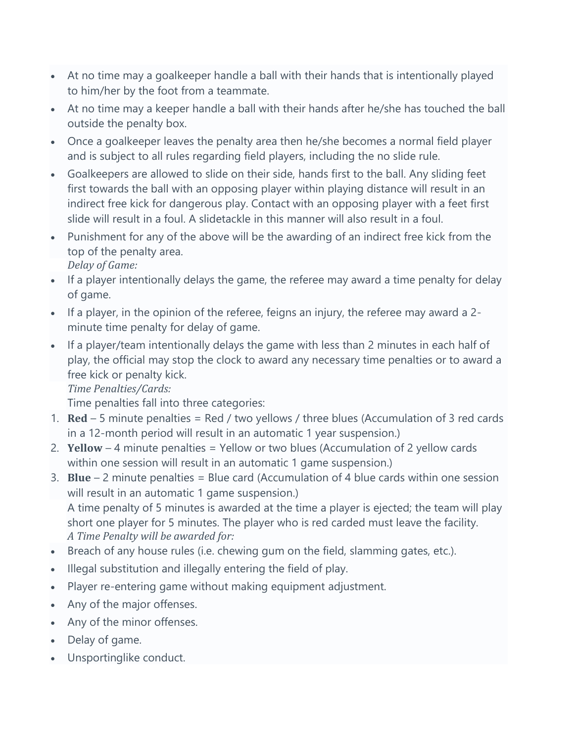- At no time may a goalkeeper handle a ball with their hands that is intentionally played to him/her by the foot from a teammate.
- At no time may a keeper handle a ball with their hands after he/she has touched the ball outside the penalty box.
- Once a goalkeeper leaves the penalty area then he/she becomes a normal field player and is subject to all rules regarding field players, including the no slide rule.
- Goalkeepers are allowed to slide on their side, hands first to the ball. Any sliding feet first towards the ball with an opposing player within playing distance will result in an indirect free kick for dangerous play. Contact with an opposing player with a feet first slide will result in a foul. A slidetackle in this manner will also result in a foul.
- Punishment for any of the above will be the awarding of an indirect free kick from the top of the penalty area.
	- *Delay of Game:*
- If a player intentionally delays the game, the referee may award a time penalty for delay of game.
- If a player, in the opinion of the referee, feigns an injury, the referee may award a 2 minute time penalty for delay of game.
- If a player/team intentionally delays the game with less than 2 minutes in each half of play, the official may stop the clock to award any necessary time penalties or to award a free kick or penalty kick.

*Time Penalties/Cards:*

Time penalties fall into three categories:

- 1. **Red** 5 minute penalties = Red / two yellows / three blues (Accumulation of 3 red cards in a 12-month period will result in an automatic 1 year suspension.)
- 2. **Yellow** 4 minute penalties = Yellow or two blues (Accumulation of 2 yellow cards within one session will result in an automatic 1 game suspension.)
- 3. **Blue** 2 minute penalties = Blue card (Accumulation of 4 blue cards within one session will result in an automatic 1 game suspension.) A time penalty of 5 minutes is awarded at the time a player is ejected; the team will play short one player for 5 minutes. The player who is red carded must leave the facility. *A Time Penalty will be awarded for:*
- Breach of any house rules (i.e. chewing gum on the field, slamming gates, etc.).
- Illegal substitution and illegally entering the field of play.
- Player re-entering game without making equipment adjustment.
- Any of the major offenses.
- Any of the minor offenses.
- Delay of game.
- Unsportinglike conduct.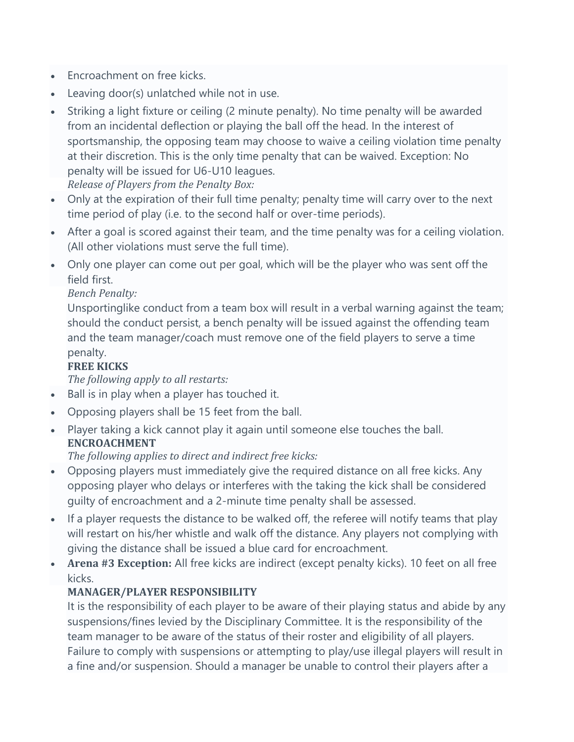- Encroachment on free kicks.
- Leaving door(s) unlatched while not in use.
- Striking a light fixture or ceiling (2 minute penalty). No time penalty will be awarded from an incidental deflection or playing the ball off the head. In the interest of sportsmanship, the opposing team may choose to waive a ceiling violation time penalty at their discretion. This is the only time penalty that can be waived. Exception: No penalty will be issued for U6-U10 leagues. *Release of Players from the Penalty Box:*
- Only at the expiration of their full time penalty; penalty time will carry over to the next time period of play (i.e. to the second half or over-time periods).
- After a goal is scored against their team, and the time penalty was for a ceiling violation. (All other violations must serve the full time).
- Only one player can come out per goal, which will be the player who was sent off the field first.

#### *Bench Penalty:*

Unsportinglike conduct from a team box will result in a verbal warning against the team; should the conduct persist, a bench penalty will be issued against the offending team and the team manager/coach must remove one of the field players to serve a time penalty.

## **FREE KICKS**

*The following apply to all restarts:*

- Ball is in play when a player has touched it.
- Opposing players shall be 15 feet from the ball.
- Player taking a kick cannot play it again until someone else touches the ball. **ENCROACHMENT**

*The following applies to direct and indirect free kicks:*

- Opposing players must immediately give the required distance on all free kicks. Any opposing player who delays or interferes with the taking the kick shall be considered guilty of encroachment and a 2-minute time penalty shall be assessed.
- If a player requests the distance to be walked off, the referee will notify teams that play will restart on his/her whistle and walk off the distance. Any players not complying with giving the distance shall be issued a blue card for encroachment.
- **Arena #3 Exception:** All free kicks are indirect (except penalty kicks). 10 feet on all free kicks.

## **MANAGER/PLAYER RESPONSIBILITY**

It is the responsibility of each player to be aware of their playing status and abide by any suspensions/fines levied by the Disciplinary Committee. It is the responsibility of the team manager to be aware of the status of their roster and eligibility of all players. Failure to comply with suspensions or attempting to play/use illegal players will result in a fine and/or suspension. Should a manager be unable to control their players after a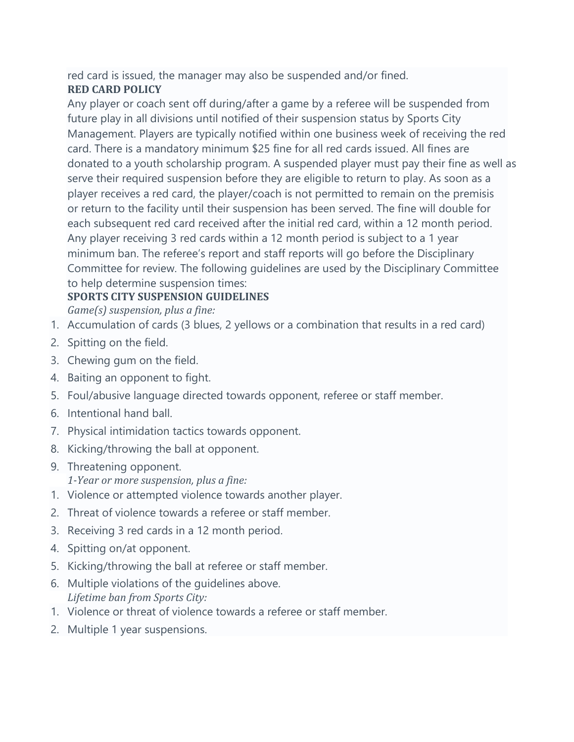red card is issued, the manager may also be suspended and/or fined.

# **RED CARD POLICY**

Any player or coach sent off during/after a game by a referee will be suspended from future play in all divisions until notified of their suspension status by Sports City Management. Players are typically notified within one business week of receiving the red card. There is a mandatory minimum \$25 fine for all red cards issued. All fines are donated to a youth scholarship program. A suspended player must pay their fine as well as serve their required suspension before they are eligible to return to play. As soon as a player receives a red card, the player/coach is not permitted to remain on the premisis or return to the facility until their suspension has been served. The fine will double for each subsequent red card received after the initial red card, within a 12 month period. Any player receiving 3 red cards within a 12 month period is subject to a 1 year minimum ban. The referee's report and staff reports will go before the Disciplinary Committee for review. The following guidelines are used by the Disciplinary Committee to help determine suspension times:

# **SPORTS CITY SUSPENSION GUIDELINES**

*Game(s) suspension, plus a fine:*

- 1. Accumulation of cards (3 blues, 2 yellows or a combination that results in a red card)
- 2. Spitting on the field.
- 3. Chewing gum on the field.
- 4. Baiting an opponent to fight.
- 5. Foul/abusive language directed towards opponent, referee or staff member.
- 6. Intentional hand ball.
- 7. Physical intimidation tactics towards opponent.
- 8. Kicking/throwing the ball at opponent.
- 9. Threatening opponent. *1-Year or more suspension, plus a fine:*
- 1. Violence or attempted violence towards another player.
- 2. Threat of violence towards a referee or staff member.
- 3. Receiving 3 red cards in a 12 month period.
- 4. Spitting on/at opponent.
- 5. Kicking/throwing the ball at referee or staff member.
- 6. Multiple violations of the guidelines above. *Lifetime ban from Sports City:*
- 1. Violence or threat of violence towards a referee or staff member.
- 2. Multiple 1 year suspensions.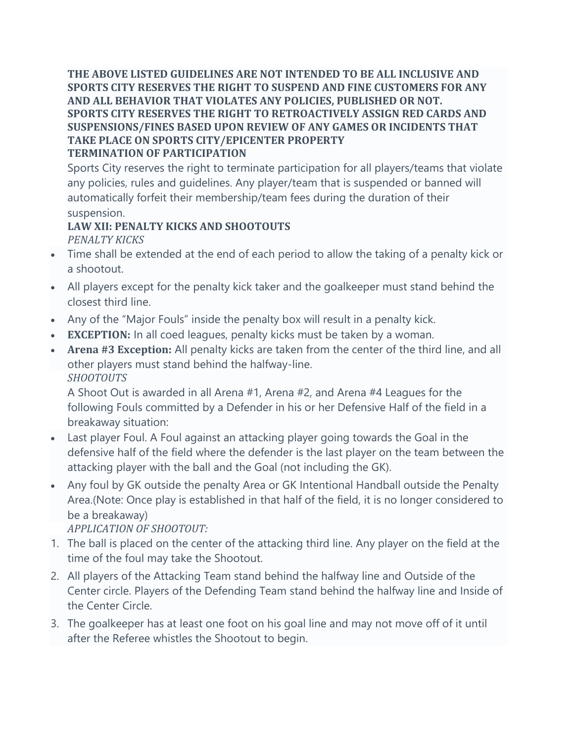**THE ABOVE LISTED GUIDELINES ARE NOT INTENDED TO BE ALL INCLUSIVE AND SPORTS CITY RESERVES THE RIGHT TO SUSPEND AND FINE CUSTOMERS FOR ANY AND ALL BEHAVIOR THAT VIOLATES ANY POLICIES, PUBLISHED OR NOT. SPORTS CITY RESERVES THE RIGHT TO RETROACTIVELY ASSIGN RED CARDS AND SUSPENSIONS/FINES BASED UPON REVIEW OF ANY GAMES OR INCIDENTS THAT TAKE PLACE ON SPORTS CITY/EPICENTER PROPERTY TERMINATION OF PARTICIPATION**

Sports City reserves the right to terminate participation for all players/teams that violate any policies, rules and guidelines. Any player/team that is suspended or banned will automatically forfeit their membership/team fees during the duration of their suspension.

#### **LAW XII: PENALTY KICKS AND SHOOTOUTS** *PENALTY KICKS*

- Time shall be extended at the end of each period to allow the taking of a penalty kick or a shootout.
- All players except for the penalty kick taker and the goalkeeper must stand behind the closest third line.
- Any of the "Major Fouls" inside the penalty box will result in a penalty kick.
- **EXCEPTION:** In all coed leagues, penalty kicks must be taken by a woman.
- **Arena #3 Exception:** All penalty kicks are taken from the center of the third line, and all other players must stand behind the halfway-line. *SHOOTOUTS*

A Shoot Out is awarded in all Arena #1, Arena #2, and Arena #4 Leagues for the following Fouls committed by a Defender in his or her Defensive Half of the field in a breakaway situation:

- Last player Foul. A Foul against an attacking player going towards the Goal in the defensive half of the field where the defender is the last player on the team between the attacking player with the ball and the Goal (not including the GK).
- Any foul by GK outside the penalty Area or GK Intentional Handball outside the Penalty Area.(Note: Once play is established in that half of the field, it is no longer considered to be a breakaway)

*APPLICATION OF SHOOTOUT:*

- 1. The ball is placed on the center of the attacking third line. Any player on the field at the time of the foul may take the Shootout.
- 2. All players of the Attacking Team stand behind the halfway line and Outside of the Center circle. Players of the Defending Team stand behind the halfway line and Inside of the Center Circle.
- 3. The goalkeeper has at least one foot on his goal line and may not move off of it until after the Referee whistles the Shootout to begin.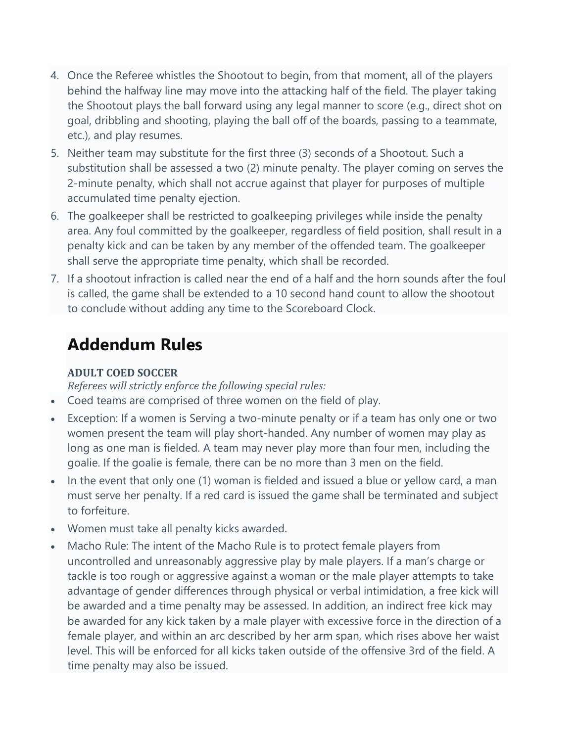- 4. Once the Referee whistles the Shootout to begin, from that moment, all of the players behind the halfway line may move into the attacking half of the field. The player taking the Shootout plays the ball forward using any legal manner to score (e.g., direct shot on goal, dribbling and shooting, playing the ball off of the boards, passing to a teammate, etc.), and play resumes.
- 5. Neither team may substitute for the first three (3) seconds of a Shootout. Such a substitution shall be assessed a two (2) minute penalty. The player coming on serves the 2-minute penalty, which shall not accrue against that player for purposes of multiple accumulated time penalty ejection.
- 6. The goalkeeper shall be restricted to goalkeeping privileges while inside the penalty area. Any foul committed by the goalkeeper, regardless of field position, shall result in a penalty kick and can be taken by any member of the offended team. The goalkeeper shall serve the appropriate time penalty, which shall be recorded.
- 7. If a shootout infraction is called near the end of a half and the horn sounds after the foul is called, the game shall be extended to a 10 second hand count to allow the shootout to conclude without adding any time to the Scoreboard Clock.

# **Addendum Rules**

#### **ADULT COED SOCCER**

*Referees will strictly enforce the following special rules:*

- Coed teams are comprised of three women on the field of play.
- Exception: If a women is Serving a two-minute penalty or if a team has only one or two women present the team will play short-handed. Any number of women may play as long as one man is fielded. A team may never play more than four men, including the goalie. If the goalie is female, there can be no more than 3 men on the field.
- In the event that only one (1) woman is fielded and issued a blue or yellow card, a man must serve her penalty. If a red card is issued the game shall be terminated and subject to forfeiture.
- Women must take all penalty kicks awarded.
- Macho Rule: The intent of the Macho Rule is to protect female players from uncontrolled and unreasonably aggressive play by male players. If a man's charge or tackle is too rough or aggressive against a woman or the male player attempts to take advantage of gender differences through physical or verbal intimidation, a free kick will be awarded and a time penalty may be assessed. In addition, an indirect free kick may be awarded for any kick taken by a male player with excessive force in the direction of a female player, and within an arc described by her arm span, which rises above her waist level. This will be enforced for all kicks taken outside of the offensive 3rd of the field. A time penalty may also be issued.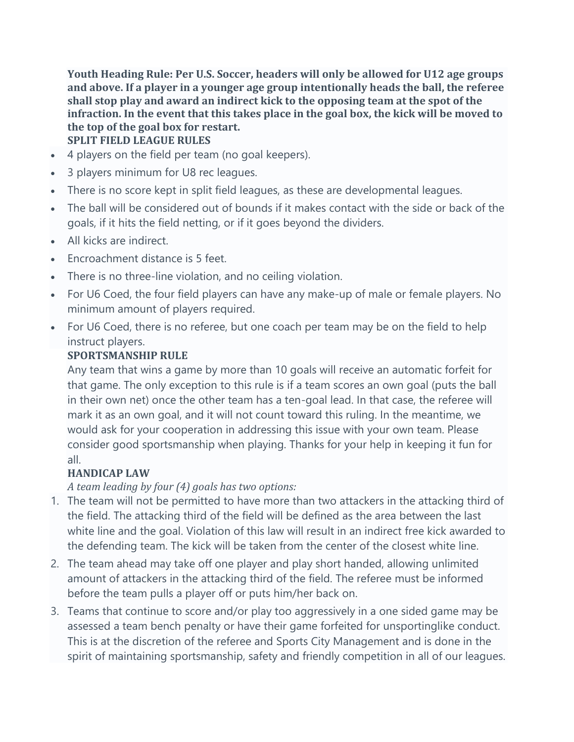**Youth Heading Rule: Per U.S. Soccer, headers will only be allowed for U12 age groups and above. If a player in a younger age group intentionally heads the ball, the referee shall stop play and award an indirect kick to the opposing team at the spot of the infraction. In the event that this takes place in the goal box, the kick will be moved to the top of the goal box for restart. SPLIT FIELD LEAGUE RULES**

- 4 players on the field per team (no goal keepers).
- 3 players minimum for U8 rec leagues.
- There is no score kept in split field leagues, as these are developmental leagues.
- The ball will be considered out of bounds if it makes contact with the side or back of the goals, if it hits the field netting, or if it goes beyond the dividers.
- All kicks are indirect.
- Encroachment distance is 5 feet.
- There is no three-line violation, and no ceiling violation.
- For U6 Coed, the four field players can have any make-up of male or female players. No minimum amount of players required.
- For U6 Coed, there is no referee, but one coach per team may be on the field to help instruct players.

# **SPORTSMANSHIP RULE**

Any team that wins a game by more than 10 goals will receive an automatic forfeit for that game. The only exception to this rule is if a team scores an own goal (puts the ball in their own net) once the other team has a ten-goal lead. In that case, the referee will mark it as an own goal, and it will not count toward this ruling. In the meantime, we would ask for your cooperation in addressing this issue with your own team. Please consider good sportsmanship when playing. Thanks for your help in keeping it fun for all.

# **HANDICAP LAW**

*A team leading by four (4) goals has two options:*

- 1. The team will not be permitted to have more than two attackers in the attacking third of the field. The attacking third of the field will be defined as the area between the last white line and the goal. Violation of this law will result in an indirect free kick awarded to the defending team. The kick will be taken from the center of the closest white line.
- 2. The team ahead may take off one player and play short handed, allowing unlimited amount of attackers in the attacking third of the field. The referee must be informed before the team pulls a player off or puts him/her back on.
- 3. Teams that continue to score and/or play too aggressively in a one sided game may be assessed a team bench penalty or have their game forfeited for unsportinglike conduct. This is at the discretion of the referee and Sports City Management and is done in the spirit of maintaining sportsmanship, safety and friendly competition in all of our leagues.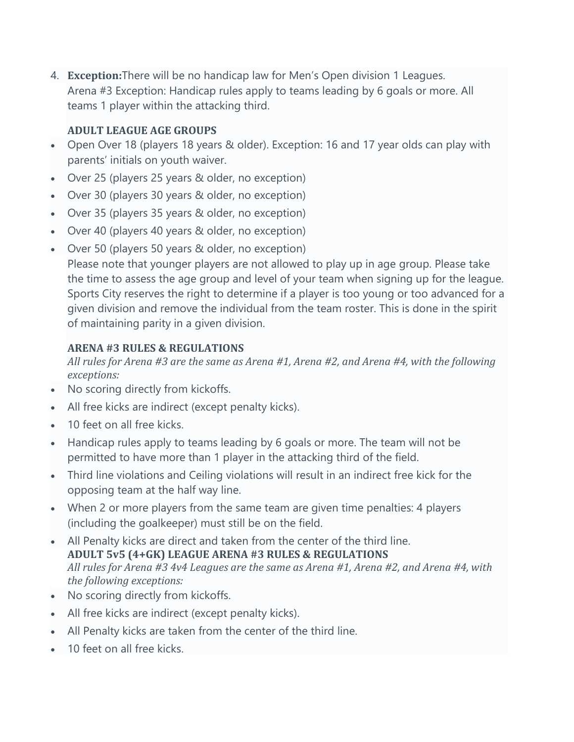4. **Exception:**There will be no handicap law for Men's Open division 1 Leagues. Arena #3 Exception: Handicap rules apply to teams leading by 6 goals or more. All teams 1 player within the attacking third.

#### **ADULT LEAGUE AGE GROUPS**

- Open Over 18 (players 18 years & older). Exception: 16 and 17 year olds can play with parents' initials on youth waiver.
- Over 25 (players 25 years & older, no exception)
- Over 30 (players 30 years & older, no exception)
- Over 35 (players 35 years & older, no exception)
- Over 40 (players 40 years & older, no exception)
- Over 50 (players 50 years & older, no exception) Please note that younger players are not allowed to play up in age group. Please take the time to assess the age group and level of your team when signing up for the league. Sports City reserves the right to determine if a player is too young or too advanced for a given division and remove the individual from the team roster. This is done in the spirit of maintaining parity in a given division.

#### **ARENA #3 RULES & REGULATIONS**

*All rules for Arena #3 are the same as Arena #1, Arena #2, and Arena #4, with the following exceptions:*

- No scoring directly from kickoffs.
- All free kicks are indirect (except penalty kicks).
- 10 feet on all free kicks.
- Handicap rules apply to teams leading by 6 goals or more. The team will not be permitted to have more than 1 player in the attacking third of the field.
- Third line violations and Ceiling violations will result in an indirect free kick for the opposing team at the half way line.
- When 2 or more players from the same team are given time penalties: 4 players (including the goalkeeper) must still be on the field.
- All Penalty kicks are direct and taken from the center of the third line. **ADULT 5v5 (4+GK) LEAGUE ARENA #3 RULES & REGULATIONS** *All rules for Arena #3 4v4 Leagues are the same as Arena #1, Arena #2, and Arena #4, with the following exceptions:*
- No scoring directly from kickoffs.
- All free kicks are indirect (except penalty kicks).
- All Penalty kicks are taken from the center of the third line.
- 10 feet on all free kicks.